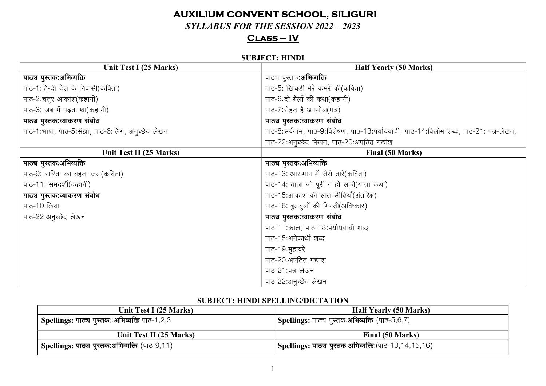# **AUXILIUM CONVENT SCHOOL, SILIGURI**

 $SYLABUS FOR THE SESION 2022 - 2023$ 

## $CLASS - IV$

#### **SUBJECT: HINDI**

| Unit Test I (25 Marks)                              | <b>Half Yearly (50 Marks)</b>                                                         |  |
|-----------------------------------------------------|---------------------------------------------------------------------------------------|--|
| पाठ्य पुस्तक:अभिव्यक्ति                             | पाठ्य पुस्तक: <b>अभिव्यक्ति</b>                                                       |  |
| पाठ-1:हिन्दी देश के निवासी(कविता)                   | पाठ-5: खिचड़ी मेरे कमरे की(कविता)                                                     |  |
| पाठ-2:चतुर आकाश(कहानी)                              | पाठ-6:दो बैलों की कथा(कहानी)                                                          |  |
| पाठ-3: जब मैं पढ़ता था(कहानी)                       | पाठ-7:सेहत है अनमोल(पत्र)                                                             |  |
| पाठ्य पुस्तक:व्याकरण संबोध                          | पाठ्य पुस्तक:व्याकरण संबोध                                                            |  |
| पाठ-1:भाषा, पाठ-5:संज्ञा, पाठ-6:लिंग, अनुच्छेद लेखन | पाठ-8:सर्वनाम, पाठ-9:विशेषण, पाठ-13:पर्यायवाची, पाठ-14:विलोम शब्द, पाठ-21: पत्र-लेखन, |  |
|                                                     | पाठ-22.अनुच्छेद लेखन, पाठ-20:अपठित गद्यांश                                            |  |
| Unit Test II (25 Marks)                             | <b>Final (50 Marks)</b>                                                               |  |
| पाठ्य पुस्तक:अभिव्यक्ति                             | पाठ्य पुस्तक:अभिव्यक्ति                                                               |  |
| पाठ-9: सरिता का बहता जल(कविता)                      | पाठ-13: आसमान में जैसे तारे(कविता)                                                    |  |
| पाठ-11: समदर्शी(कहानी)                              | पाठ-14: यात्रा जो पूरी न हो सकी(यात्रा कथा)                                           |  |
| पाठ्य पुस्तक:व्याकरण संबोध                          | पाठ-15:आकाश की सात सीढ़ियाँ(अंतरिक्ष)                                                 |  |
| पाठ-10:क्रिया                                       | पाठ-16: बुलबुलों की गिनती(अविष्कार)                                                   |  |
| पाठ-22:अनुच्छेद लेखन                                | पाठ्य पुस्तक:व्याकरण संबोध                                                            |  |
|                                                     | पाठ-11:काल, पाठ-13:पर्यायवाची शब्द                                                    |  |
|                                                     | पाठ-15:अनेकार्थी शब्द                                                                 |  |
|                                                     | पाठ-19:मुहावरे                                                                        |  |
|                                                     | पाठ-20:अपठित गद्यांश                                                                  |  |
|                                                     | पाठ-21:पत्र-लेखन                                                                      |  |
|                                                     | पाठ-22:अनूच्छेद-लेखन                                                                  |  |

## **SUBJECT: HINDI SPELLING/DICTATION**

| Unit Test I (25 Marks)                                     | <b>Half Yearly (50 Marks)</b>                                     |  |
|------------------------------------------------------------|-------------------------------------------------------------------|--|
| <sup>।</sup> Spellings: पाठ्य पुस्तक∷अभिव्यक्ति पाठ-1,2,3  | l Spellings: पाठ्य पुस्तक:अभिव्यक्ति (पाठ-5,6,7)                  |  |
| Unit Test II (25 Marks)                                    | Final (50 Marks)                                                  |  |
| <sup> </sup> Spellings: पाठ्य पुस्तक:अभिव्यक्ति (पाठ-9,11) | <sup>।</sup> Spellings: पाठ्य पुस्तक-अभिव्यक्ति:(पाठ-13,14,15,16) |  |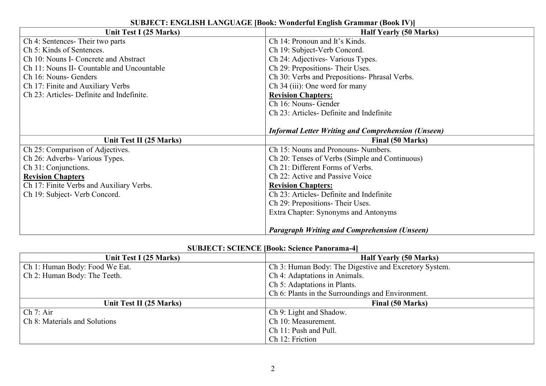| Unit Test I (25 Marks)                     | <u>SUDJECT, ETGERIT ETTIGUTGE JDVVK, VURKITAI EREISH GIAMMAI (DVVKTV JJ</u><br><b>Half Yearly (50 Marks)</b> |  |
|--------------------------------------------|--------------------------------------------------------------------------------------------------------------|--|
| Ch 4: Sentences-Their two parts            | Ch 14: Pronoun and It's Kinds.                                                                               |  |
| Ch 5: Kinds of Sentences.                  | Ch 19: Subject-Verb Concord.                                                                                 |  |
| Ch 10: Nouns I- Concrete and Abstract      | Ch 24: Adjectives- Various Types.                                                                            |  |
| Ch 11: Nouns II- Countable and Uncountable | Ch 29: Prepositions-Their Uses.                                                                              |  |
| Ch 16: Nouns- Genders                      | Ch 30: Verbs and Prepositions- Phrasal Verbs.                                                                |  |
| Ch 17: Finite and Auxiliary Verbs          | Ch 34 (iii): One word for many                                                                               |  |
| Ch 23: Articles- Definite and Indefinite.  | <b>Revision Chapters:</b>                                                                                    |  |
|                                            | Ch 16: Nouns- Gender                                                                                         |  |
|                                            | Ch 23: Articles- Definite and Indefinite                                                                     |  |
|                                            |                                                                                                              |  |
|                                            | <b>Informal Letter Writing and Comprehension (Unseen)</b>                                                    |  |
| Unit Test II (25 Marks)                    | Final (50 Marks)                                                                                             |  |
| Ch 25: Comparison of Adjectives.           | Ch 15: Nouns and Pronouns-Numbers.                                                                           |  |
| Ch 26: Adverbs- Various Types.             | Ch 20: Tenses of Verbs (Simple and Continuous)                                                               |  |
| Ch 31: Conjunctions.                       | Ch 21: Different Forms of Verbs.                                                                             |  |
| <b>Revision Chapters</b>                   | Ch 22: Active and Passive Voice                                                                              |  |
| Ch 17: Finite Verbs and Auxiliary Verbs.   | <b>Revision Chapters:</b>                                                                                    |  |
| Ch 19: Subject- Verb Concord.              | Ch 23: Articles- Definite and Indefinite                                                                     |  |
|                                            | Ch 29: Prepositions- Their Uses.                                                                             |  |
|                                            | Extra Chapter: Synonyms and Antonyms                                                                         |  |
|                                            |                                                                                                              |  |
|                                            | <b>Paragraph Writing and Comprehension (Unseen)</b>                                                          |  |

#### **SUBJECT: ENGLISH LANGUAGE [Book: Wonderful English Grammar (Book IV)]**

#### **SUBJECT: SCIENCE [Book: Science Panorama-4]**

| Unit Test I (25 Marks)         | <b>Half Yearly (50 Marks)</b>                         |  |
|--------------------------------|-------------------------------------------------------|--|
| Ch 1: Human Body: Food We Eat. | Ch 3: Human Body: The Digestive and Excretory System. |  |
| Ch 2: Human Body: The Teeth.   | Ch 4: Adaptations in Animals.                         |  |
|                                | Ch 5: Adaptations in Plants.                          |  |
|                                | Ch 6: Plants in the Surroundings and Environment.     |  |
| Unit Test II (25 Marks)        | Final (50 Marks)                                      |  |
| Ch 7: Air                      | Ch 9: Light and Shadow.                               |  |
| Ch 8: Materials and Solutions  | Ch 10: Measurement.                                   |  |
|                                | Ch 11: Push and Pull.                                 |  |
|                                | Ch 12: Friction                                       |  |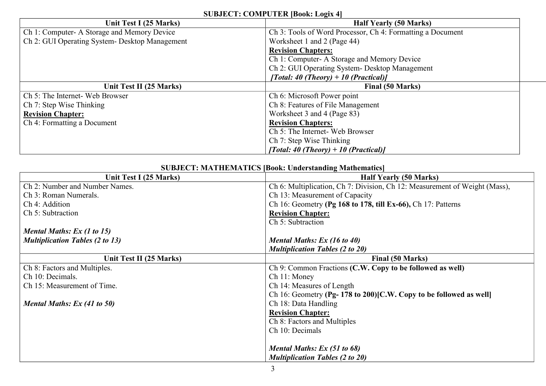## **SUBJECT: COMPUTER [Book: Logix 4]**

| Unit Test I (25 Marks)                         | <b>Half Yearly (50 Marks)</b>                              |
|------------------------------------------------|------------------------------------------------------------|
| Ch 1: Computer- A Storage and Memory Device    | Ch 3: Tools of Word Processor, Ch 4: Formatting a Document |
| Ch 2: GUI Operating System- Desktop Management | Worksheet 1 and 2 (Page 44)                                |
|                                                | <b>Revision Chapters:</b>                                  |
|                                                | Ch 1: Computer- A Storage and Memory Device                |
|                                                | Ch 2: GUI Operating System - Desktop Management            |
|                                                | [Total: 40 (Theory) + 10 (Practical)]                      |
| Unit Test II (25 Marks)                        | <b>Final (50 Marks)</b>                                    |
| Ch 5: The Internet- Web Browser                | Ch 6: Microsoft Power point                                |
| Ch 7: Step Wise Thinking                       | Ch 8: Features of File Management                          |
| <b>Revision Chapter:</b>                       | Worksheet 3 and 4 (Page 83)                                |
| Ch 4: Formatting a Document                    | <b>Revision Chapters:</b>                                  |
|                                                | Ch 5: The Internet- Web Browser                            |
|                                                | Ch 7: Step Wise Thinking                                   |
|                                                | [Total: 40 (Theory) + 10 (Practical)]                      |

## **SUBJECT: MATHEMATICS [Book: Understanding Mathematics]**

| Unit Test I (25 Marks)                 | <b>Half Yearly (50 Marks)</b>                                              |  |
|----------------------------------------|----------------------------------------------------------------------------|--|
| Ch 2: Number and Number Names.         | Ch 6: Multiplication, Ch 7: Division, Ch 12: Measurement of Weight (Mass), |  |
| Ch 3: Roman Numerals.                  | Ch 13: Measurement of Capacity                                             |  |
| Ch 4: Addition                         | Ch 16: Geometry (Pg 168 to 178, till Ex-66), Ch 17: Patterns               |  |
| Ch 5: Subtraction                      | <b>Revision Chapter:</b>                                                   |  |
|                                        | Ch 5: Subtraction                                                          |  |
| Mental Maths: Ex (1 to 15)             |                                                                            |  |
| <b>Multiplication Tables (2 to 13)</b> | Mental Maths: Ex (16 to 40)                                                |  |
|                                        | <b>Multiplication Tables (2 to 20)</b>                                     |  |
| Unit Test II (25 Marks)                | <b>Final (50 Marks)</b>                                                    |  |
| Ch 8: Factors and Multiples.           | Ch 9: Common Fractions (C.W. Copy to be followed as well)                  |  |
| Ch 10: Decimals.                       | Ch 11: Money                                                               |  |
| Ch 15: Measurement of Time.            | Ch 14: Measures of Length                                                  |  |
|                                        | Ch 16: Geometry (Pg-178 to 200) [C.W. Copy to be followed as well]         |  |
| Mental Maths: Ex (41 to 50)            | Ch 18: Data Handling                                                       |  |
|                                        | <b>Revision Chapter:</b>                                                   |  |
|                                        | Ch 8: Factors and Multiples                                                |  |
|                                        | Ch 10: Decimals                                                            |  |
|                                        |                                                                            |  |
|                                        | Mental Maths: Ex (51 to 68)                                                |  |
|                                        | <b>Multiplication Tables (2 to 20)</b>                                     |  |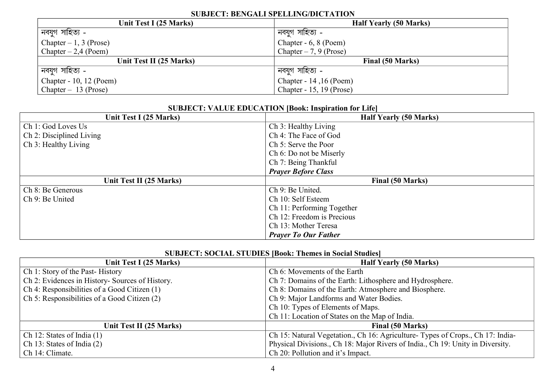## **SUBJECT: BENGALI SPELLING/DICTATION**

| Unit Test I (25 Marks)   | <b>Half Yearly (50 Marks)</b> |  |
|--------------------------|-------------------------------|--|
| নবযুগ সাহিত্য -          | নবযুগ সাহিত্য -               |  |
| Chapter $-1$ , 3 (Prose) | Chapter - 6, 8 (Poem)         |  |
| Chapter $-2,4$ (Poem)    | Chapter $-7, 9$ (Prose)       |  |
| Unit Test II (25 Marks)  | Final (50 Marks)              |  |
| ' নবযুগ সাহিত্য -        | নবযুগ সাহিত্য -               |  |
| Chapter - 10, 12 (Poem)  | Chapter - 14, 16 (Poem)       |  |
| Chapter $-13$ (Prose)    | Chapter - 15, 19 (Prose)      |  |

| <b>SUBJECT: VALUE EDUCATION [Book: Inspiration for Life]</b> |                               |  |
|--------------------------------------------------------------|-------------------------------|--|
| Unit Test I (25 Marks)                                       | <b>Half Yearly (50 Marks)</b> |  |
| Ch 1: God Loves Us                                           | Ch 3: Healthy Living          |  |
| Ch 2: Disciplined Living                                     | Ch 4: The Face of God         |  |
| Ch 3: Healthy Living                                         | Ch 5: Serve the Poor          |  |
|                                                              | Ch 6: Do not be Miserly       |  |
|                                                              | Ch 7: Being Thankful          |  |
|                                                              | <b>Prayer Before Class</b>    |  |
| Unit Test II (25 Marks)                                      | Final (50 Marks)              |  |
| Ch 8: Be Generous                                            | Ch 9: Be United.              |  |
| Ch 9: Be United                                              | Ch 10: Self Esteem            |  |
|                                                              | Ch 11: Performing Together    |  |
|                                                              | Ch 12: Freedom is Precious    |  |
|                                                              | Ch 13: Mother Teresa          |  |
|                                                              | <b>Prayer To Our Father</b>   |  |

|  | <b>SUBJECT: SOCIAL STUDIES [Book: Themes in Social Studies]</b> |
|--|-----------------------------------------------------------------|
|--|-----------------------------------------------------------------|

| Unit Test I (25 Marks)                          | <b>Half Yearly (50 Marks)</b>                                                  |  |
|-------------------------------------------------|--------------------------------------------------------------------------------|--|
| Ch 1: Story of the Past-History                 | Ch 6: Movements of the Earth                                                   |  |
| Ch 2: Evidences in History- Sources of History. | Ch 7: Domains of the Earth: Lithosphere and Hydrosphere.                       |  |
| Ch 4: Responsibilities of a Good Citizen (1)    | Ch 8: Domains of the Earth: Atmosphere and Biosphere.                          |  |
| Ch 5: Responsibilities of a Good Citizen (2)    | Ch 9: Major Landforms and Water Bodies.                                        |  |
|                                                 | Ch 10: Types of Elements of Maps.                                              |  |
|                                                 | Ch 11: Location of States on the Map of India.                                 |  |
| Unit Test II (25 Marks)                         | <b>Final (50 Marks)</b>                                                        |  |
| Ch 12: States of India $(1)$                    | Ch 15: Natural Vegetation., Ch 16: Agriculture-Types of Crops., Ch 17: India-  |  |
| Ch 13: States of India $(2)$                    | Physical Divisions., Ch 18: Major Rivers of India., Ch 19: Unity in Diversity. |  |
| Ch 14: Climate.                                 | Ch 20: Pollution and it's Impact.                                              |  |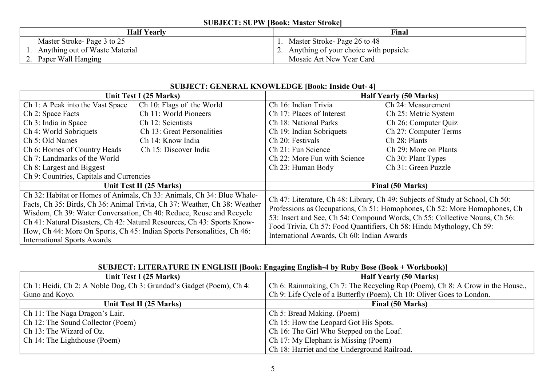### **SUBJECT: SUPW [Book: Master Stroke]**

| <b>Half Yearly</b><br>Final    |                                          |
|--------------------------------|------------------------------------------|
| Master Stroke-Page 3 to 25     | 1. Master Stroke-Page 26 to 48           |
| Anything out of Waste Material | 2. Anything of your choice with popsicle |
| Paper Wall Hanging<br>$\sim$ . | Mosaic Art New Year Card                 |

### **SUBJECT: GENERAL KNOWLEDGE [Book: Inside Out- 4]**

|                                                                           | Unit Test I (25 Marks)                                                 | <b>Half Yearly (50 Marks)</b>                                                                                                                                                                                                                                                                                                                                  |                       |
|---------------------------------------------------------------------------|------------------------------------------------------------------------|----------------------------------------------------------------------------------------------------------------------------------------------------------------------------------------------------------------------------------------------------------------------------------------------------------------------------------------------------------------|-----------------------|
| Ch 1: A Peak into the Vast Space                                          | Ch 10: Flags of the World                                              | Ch 16: Indian Trivia                                                                                                                                                                                                                                                                                                                                           | Ch 24: Measurement    |
| Ch 2: Space Facts                                                         | Ch 11: World Pioneers                                                  | Ch 17: Places of Interest                                                                                                                                                                                                                                                                                                                                      | Ch 25: Metric System  |
| Ch 3: India in Space                                                      | Ch 12: Scientists                                                      | Ch 18: National Parks                                                                                                                                                                                                                                                                                                                                          | Ch 26: Computer Quiz  |
| Ch 4: World Sobriquets                                                    | Ch 13: Great Personalities                                             | Ch 19: Indian Sobriquets                                                                                                                                                                                                                                                                                                                                       | Ch 27: Computer Terms |
| Ch 5: Old Names                                                           | Ch 14: Know India                                                      | Ch 20: Festivals                                                                                                                                                                                                                                                                                                                                               | Ch 28: Plants         |
| Ch 6: Homes of Country Heads                                              | Ch 15: Discover India                                                  | Ch 21: Fun Science                                                                                                                                                                                                                                                                                                                                             | Ch 29: More on Plants |
| Ch 7: Landmarks of the World                                              |                                                                        | Ch 22: More Fun with Science                                                                                                                                                                                                                                                                                                                                   | Ch 30: Plant Types    |
| Ch 8: Largest and Biggest                                                 |                                                                        | Ch 23: Human Body                                                                                                                                                                                                                                                                                                                                              | Ch 31: Green Puzzle   |
| Ch 9: Countries, Capitals and Currencies                                  |                                                                        |                                                                                                                                                                                                                                                                                                                                                                |                       |
|                                                                           | Unit Test II (25 Marks)                                                | Final (50 Marks)                                                                                                                                                                                                                                                                                                                                               |                       |
|                                                                           | Ch 32: Habitat or Homes of Animals, Ch 33: Animals, Ch 34: Blue Whale- |                                                                                                                                                                                                                                                                                                                                                                |                       |
| Facts, Ch 35: Birds, Ch 36: Animal Trivia, Ch 37: Weather, Ch 38: Weather |                                                                        | Ch 47: Literature, Ch 48: Library, Ch 49: Subjects of Study at School, Ch 50:<br>Professions as Occupations, Ch 51: Homophones, Ch 52: More Homophones, Ch<br>53: Insert and See, Ch 54: Compound Words, Ch 55: Collective Nouns, Ch 56:<br>Food Trivia, Ch 57: Food Quantifiers, Ch 58: Hindu Mythology, Ch 59:<br>International Awards, Ch 60: Indian Awards |                       |
| Wisdom, Ch 39: Water Conversation, Ch 40: Reduce, Reuse and Recycle       |                                                                        |                                                                                                                                                                                                                                                                                                                                                                |                       |
| Ch 41: Natural Disasters, Ch 42: Natural Resources, Ch 43: Sports Know-   |                                                                        |                                                                                                                                                                                                                                                                                                                                                                |                       |
| How, Ch 44: More On Sports, Ch 45: Indian Sports Personalities, Ch 46:    |                                                                        |                                                                                                                                                                                                                                                                                                                                                                |                       |
| <b>International Sports Awards</b>                                        |                                                                        |                                                                                                                                                                                                                                                                                                                                                                |                       |

## **SUBJECT: LITERATURE IN ENGLISH [Book: Engaging English-4 by Ruby Bose (Book + Workbook)]**

| Unit Test I (25 Marks)                                               | <b>Half Yearly (50 Marks)</b>                                                 |
|----------------------------------------------------------------------|-------------------------------------------------------------------------------|
| Ch 1: Heidi, Ch 2: A Noble Dog, Ch 3: Grandad's Gadget (Poem), Ch 4: | Ch 6: Rainmaking, Ch 7: The Recycling Rap (Poem), Ch 8: A Crow in the House., |
| Guno and Koyo.                                                       | Ch 9: Life Cycle of a Butterfly (Poem), Ch 10: Oliver Goes to London.         |
| Unit Test II (25 Marks)                                              | Final (50 Marks)                                                              |
| Ch 11: The Naga Dragon's Lair.                                       | Ch 5: Bread Making. (Poem)                                                    |
| Ch 12: The Sound Collector (Poem)                                    | Ch 15: How the Leopard Got His Spots.                                         |
| Ch 13: The Wizard of Oz.                                             | Ch 16: The Girl Who Stepped on the Loaf.                                      |
| Ch 14: The Lighthouse (Poem)                                         | Ch 17: My Elephant is Missing (Poem)                                          |
|                                                                      | Ch 18: Harriet and the Underground Railroad.                                  |